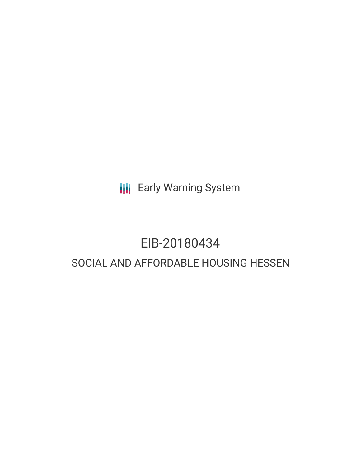**III** Early Warning System

## EIB-20180434

## SOCIAL AND AFFORDABLE HOUSING HESSEN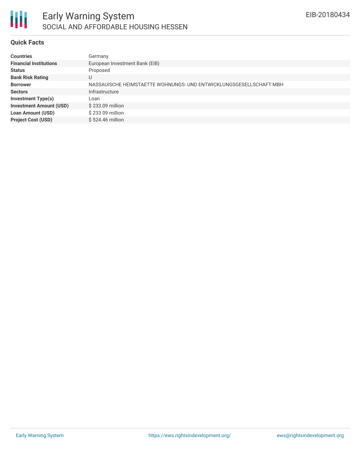

#### **Quick Facts**

| <b>Countries</b>               | Germany                                                            |
|--------------------------------|--------------------------------------------------------------------|
| <b>Financial Institutions</b>  | European Investment Bank (EIB)                                     |
| <b>Status</b>                  | Proposed                                                           |
| <b>Bank Risk Rating</b>        | U                                                                  |
| <b>Borrower</b>                | NASSAUISCHE HEIMSTAETTE WOHNUNGS- UND ENTWICKLUNGSGESELLSCHAFT MBH |
| <b>Sectors</b>                 | Infrastructure                                                     |
| <b>Investment Type(s)</b>      | Loan                                                               |
| <b>Investment Amount (USD)</b> | \$233.09 million                                                   |
| <b>Loan Amount (USD)</b>       | \$233.09 million                                                   |
| <b>Project Cost (USD)</b>      | \$524.46 million                                                   |
|                                |                                                                    |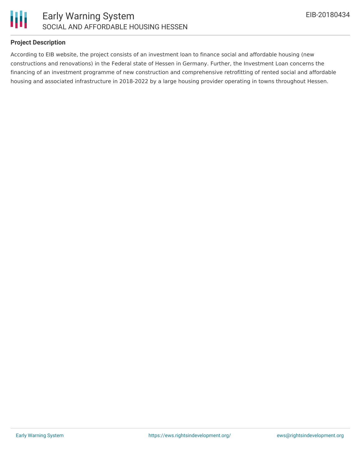

#### **Project Description**

According to EIB website, the project consists of an investment loan to finance social and affordable housing (new constructions and renovations) in the Federal state of Hessen in Germany. Further, the Investment Loan concerns the financing of an investment programme of new construction and comprehensive retrofitting of rented social and affordable housing and associated infrastructure in 2018-2022 by a large housing provider operating in towns throughout Hessen.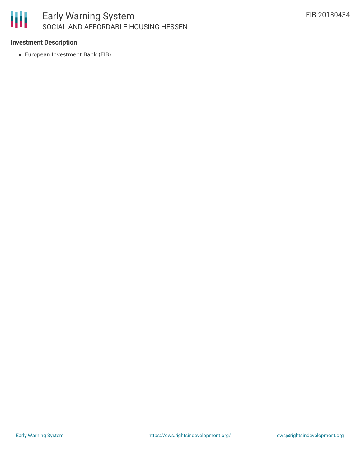

#### **Investment Description**

European Investment Bank (EIB)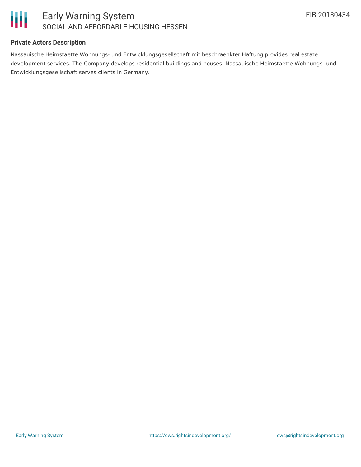

#### **Private Actors Description**

Nassauische Heimstaette Wohnungs- und Entwicklungsgesellschaft mit beschraenkter Haftung provides real estate development services. The Company develops residential buildings and houses. Nassauische Heimstaette Wohnungs- und Entwicklungsgesellschaft serves clients in Germany.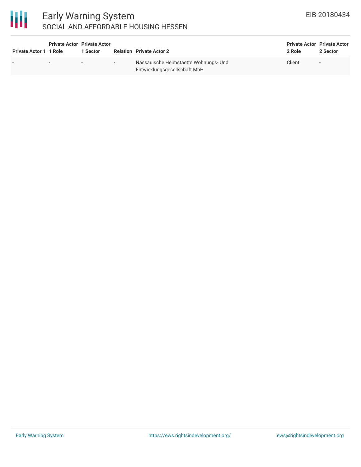# 冊

### Early Warning System SOCIAL AND AFFORDABLE HOUSING HESSEN

| Private Actor 1 1 Role | <b>Private Actor Private Actor</b> | 1 Sector                 |        | <b>Relation Private Actor 2</b>                                       | <b>Private Actor Private Actor</b><br>2 Role | 2 Sector       |
|------------------------|------------------------------------|--------------------------|--------|-----------------------------------------------------------------------|----------------------------------------------|----------------|
|                        | $\overline{\phantom{0}}$           | $\overline{\phantom{a}}$ | $\sim$ | Nassauische Heimstaette Wohnungs- Und<br>Entwicklungsgesellschaft MbH | Client                                       | $\sim$ $ \sim$ |